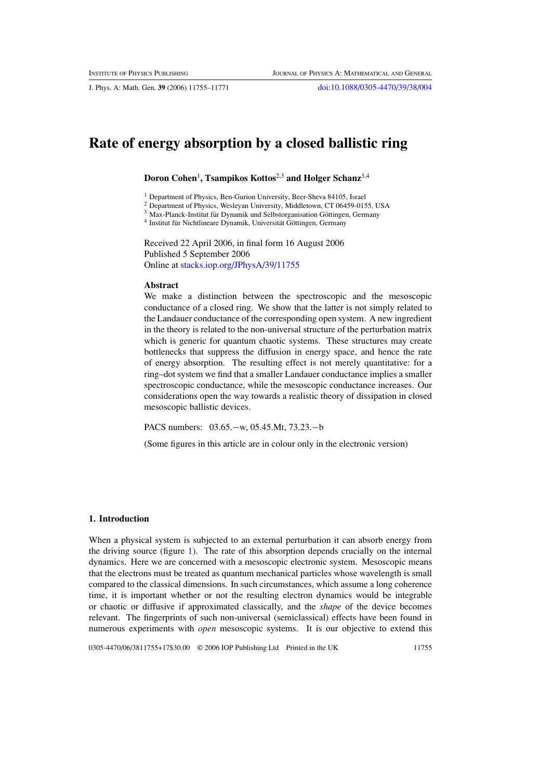J. Phys. A: Math. Gen. **39** (2006) 11755–11771 [doi:10.1088/0305-4470/39/38/004](http://dx.doi.org/10.1088/0305-4470/39/38/004)

# **Rate of energy absorption by a closed ballistic ring**

**Doron Cohen**<sup>1</sup> **, Tsampikos Kottos**2,3 **and Holger Schanz**3,4

<sup>1</sup> Department of Physics, Ben-Gurion University, Beer-Sheva 84105, Israel

<sup>2</sup> Department of Physics, Wesleyan University, Middletown, CT 06459-0155, USA

 $3$  Max-Planck-Institut für Dynamik und Selbstorganisation Göttingen, Germany

<sup>4</sup> Institut für Nichtlineare Dynamik, Universität Göttingen, Germany

Received 22 April 2006, in final form 16 August 2006 Published 5 September 2006 Online at [stacks.iop.org/JPhysA/39/11755](http://stacks.iop.org/JPhysA/39/11755)

#### **Abstract**

We make a distinction between the spectroscopic and the mesoscopic conductance of a closed ring. We show that the latter is not simply related to the Landauer conductance of the corresponding open system. A new ingredient in the theory is related to the non-universal structure of the perturbation matrix which is generic for quantum chaotic systems. These structures may create bottlenecks that suppress the diffusion in energy space, and hence the rate of energy absorption. The resulting effect is not merely quantitative: for a ring–dot system we find that a smaller Landauer conductance implies a smaller spectroscopic conductance, while the mesoscopic conductance increases. Our considerations open the way towards a realistic theory of dissipation in closed mesoscopic ballistic devices.

PACS numbers: 03.65.−w, 05.45.Mt, 73.23.−b

(Some figures in this article are in colour only in the electronic version)

#### **1. Introduction**

When a physical system is subjected to an external perturbation it can absorb energy from the driving source (figure [1\)](#page-1-0). The rate of this absorption depends crucially on the internal dynamics. Here we are concerned with a mesoscopic electronic system. Mesoscopic means that the electrons must be treated as quantum mechanical particles whose wavelength is small compared to the classical dimensions. In such circumstances, which assume a long coherence time, it is important whether or not the resulting electron dynamics would be integrable or chaotic or diffusive if approximated classically, and the *shape* of the device becomes relevant. The fingerprints of such non-universal (semiclassical) effects have been found in numerous experiments with *open* mesoscopic systems. It is our objective to extend this

0305-4470/06/3811755+17\$30.00 © 2006 IOP Publishing Ltd Printed in the UK 11755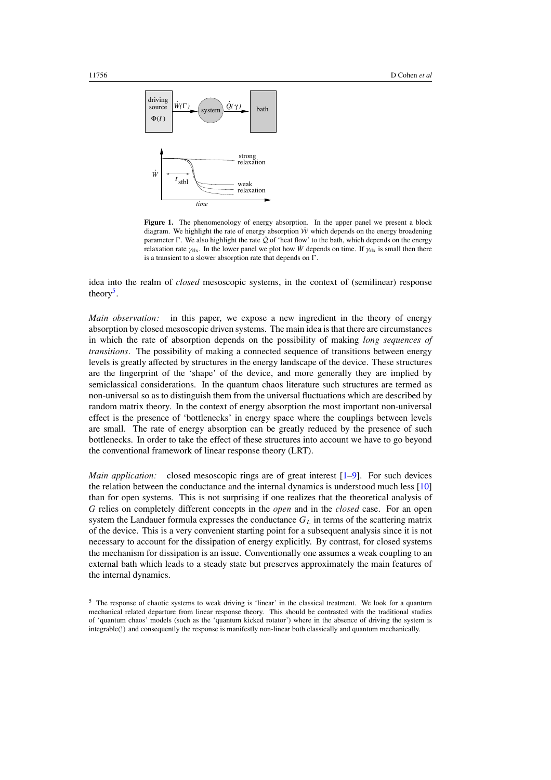<span id="page-1-0"></span>

Figure 1. The phenomenology of energy absorption. In the upper panel we present a block diagram. We highlight the rate of energy absorption  $\dot{W}$  which depends on the energy broadening parameter  $\Gamma$ . We also highlight the rate  $\hat{Q}$  of 'heat flow' to the bath, which depends on the energy relaxation rate  $\gamma_{\text{rlx}}$ . In the lower panel we plot how *W* depends on time. If  $\gamma_{\text{rlx}}$  is small then there is a transient to a slower absorption rate that depends on  $\Gamma$ .

idea into the realm of *closed* mesoscopic systems, in the context of (semilinear) response theory<sup>5</sup>.

*Main observation:* in this paper, we expose a new ingredient in the theory of energy absorption by closed mesoscopic driven systems. The main idea is that there are circumstances in which the rate of absorption depends on the possibility of making *long sequences of transitions*. The possibility of making a connected sequence of transitions between energy levels is greatly affected by structures in the energy landscape of the device. These structures are the fingerprint of the 'shape' of the device, and more generally they are implied by semiclassical considerations. In the quantum chaos literature such structures are termed as non-universal so as to distinguish them from the universal fluctuations which are described by random matrix theory. In the context of energy absorption the most important non-universal effect is the presence of 'bottlenecks' in energy space where the couplings between levels are small. The rate of energy absorption can be greatly reduced by the presence of such bottlenecks. In order to take the effect of these structures into account we have to go beyond the conventional framework of linear response theory (LRT).

*Main application:* closed mesoscopic rings are of great interest [\[1–9](#page-15-0)]. For such devices the relation between the conductance and the internal dynamics is understood much less [\[10](#page-16-0)] than for open systems. This is not surprising if one realizes that the theoretical analysis of *G* relies on completely different concepts in the *open* and in the *closed* case. For an open system the Landauer formula expresses the conductance *GL* in terms of the scattering matrix of the device. This is a very convenient starting point for a subsequent analysis since it is not necessary to account for the dissipation of energy explicitly. By contrast, for closed systems the mechanism for dissipation is an issue. Conventionally one assumes a weak coupling to an external bath which leads to a steady state but preserves approximately the main features of the internal dynamics.

<sup>&</sup>lt;sup>5</sup> The response of chaotic systems to weak driving is 'linear' in the classical treatment. We look for a quantum mechanical related departure from linear response theory. This should be contrasted with the traditional studies of 'quantum chaos' models (such as the 'quantum kicked rotator') where in the absence of driving the system is integrable(!) and consequently the response is manifestly non-linear both classically and quantum mechanically.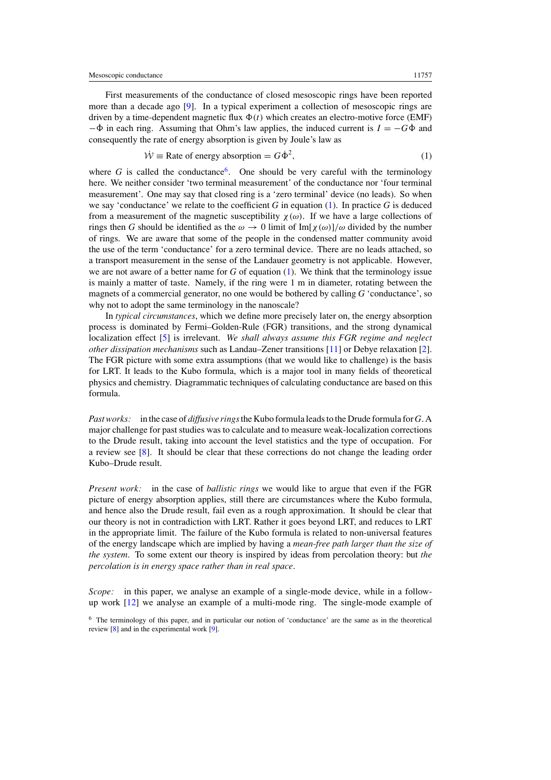<span id="page-2-0"></span>First measurements of the conductance of closed mesoscopic rings have been reported more than a decade ago [\[9](#page-15-0)]. In a typical experiment a collection of mesoscopic rings are driven by a time-dependent magnetic flux  $\Phi(t)$  which creates an electro-motive force (EMF)  $-\dot{\Phi}$  in each ring. Assuming that Ohm's law applies, the induced current is  $I = -G\dot{\Phi}$  and consequently the rate of energy absorption is given by Joule's law as

$$
\dot{\mathcal{W}} \equiv \text{Rate of energy absorption} = G\dot{\Phi}^2,\tag{1}
$$

where *G* is called the conductance<sup>6</sup>. One should be very careful with the terminology here. We neither consider 'two terminal measurement' of the conductance nor 'four terminal measurement'. One may say that closed ring is a 'zero terminal' device (no leads). So when we say 'conductance' we relate to the coefficient *G* in equation (1). In practice *G* is deduced from a measurement of the magnetic susceptibility  $\chi(\omega)$ . If we have a large collections of rings then *G* should be identified as the  $\omega \to 0$  limit of Im[ $\chi(\omega)/\omega$  divided by the number of rings. We are aware that some of the people in the condensed matter community avoid the use of the term 'conductance' for a zero terminal device. There are no leads attached, so a transport measurement in the sense of the Landauer geometry is not applicable. However, we are not aware of a better name for *G* of equation (1). We think that the terminology issue is mainly a matter of taste. Namely, if the ring were 1 m in diameter, rotating between the magnets of a commercial generator, no one would be bothered by calling *G* 'conductance', so why not to adopt the same terminology in the nanoscale?

In *typical circumstances*, which we define more precisely later on, the energy absorption process is dominated by Fermi–Golden-Rule (FGR) transitions, and the strong dynamical localization effect [\[5](#page-15-0)] is irrelevant. *We shall always assume this FGR regime and neglect other dissipation mechanisms* such as Landau–Zener transitions [\[11](#page-16-0)] or Debye relaxation [\[2\]](#page-15-0). The FGR picture with some extra assumptions (that we would like to challenge) is the basis for LRT. It leads to the Kubo formula, which is a major tool in many fields of theoretical physics and chemistry. Diagrammatic techniques of calculating conductance are based on this formula.

*Past works:* in the case of *diffusive rings*the Kubo formula leads to the Drude formula for *G*. A major challenge for past studies was to calculate and to measure weak-localization corrections to the Drude result, taking into account the level statistics and the type of occupation. For a review see [\[8](#page-15-0)]. It should be clear that these corrections do not change the leading order Kubo–Drude result.

*Present work:* in the case of *ballistic rings* we would like to argue that even if the FGR picture of energy absorption applies, still there are circumstances where the Kubo formula, and hence also the Drude result, fail even as a rough approximation. It should be clear that our theory is not in contradiction with LRT. Rather it goes beyond LRT, and reduces to LRT in the appropriate limit. The failure of the Kubo formula is related to non-universal features of the energy landscape which are implied by having a *mean-free path larger than the size of the system*. To some extent our theory is inspired by ideas from percolation theory: but *the percolation is in energy space rather than in real space*.

*Scope:* in this paper, we analyse an example of a single-mode device, while in a followup work [\[12\]](#page-16-0) we analyse an example of a multi-mode ring. The single-mode example of

<sup>6</sup> The terminology of this paper, and in particular our notion of 'conductance' are the same as in the theoretical review [\[8\]](#page-15-0) and in the experimental work [\[9](#page-15-0)].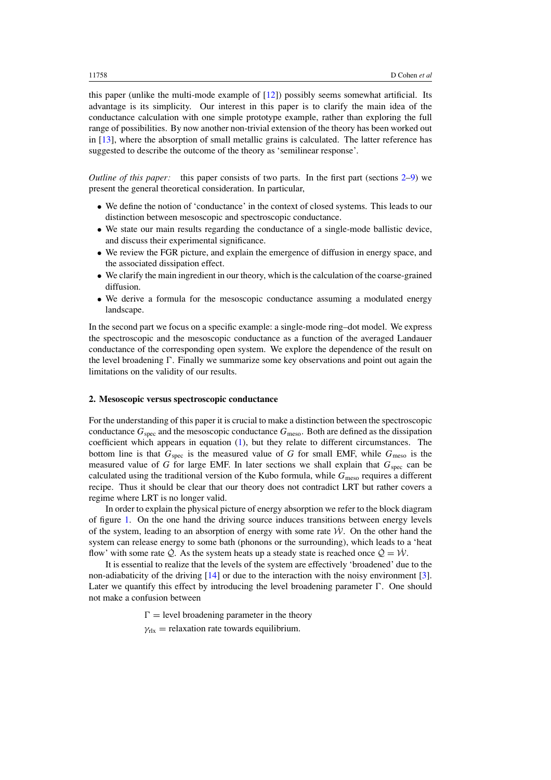<span id="page-3-0"></span>this paper (unlike the multi-mode example of  $[12]$  $[12]$ ) possibly seems somewhat artificial. Its advantage is its simplicity. Our interest in this paper is to clarify the main idea of the conductance calculation with one simple prototype example, rather than exploring the full range of possibilities. By now another non-trivial extension of the theory has been worked out in [\[13\]](#page-16-0), where the absorption of small metallic grains is calculated. The latter reference has suggested to describe the outcome of the theory as 'semilinear response'.

*Outline of this paper:* this paper consists of two parts. In the first part (sections 2[–9\)](#page-10-0) we present the general theoretical consideration. In particular,

- We define the notion of 'conductance' in the context of closed systems. This leads to our distinction between mesoscopic and spectroscopic conductance.
- We state our main results regarding the conductance of a single-mode ballistic device, and discuss their experimental significance.
- We review the FGR picture, and explain the emergence of diffusion in energy space, and the associated dissipation effect.
- We clarify the main ingredient in our theory, which is the calculation of the coarse-grained diffusion.
- We derive a formula for the mesoscopic conductance assuming a modulated energy landscape.

In the second part we focus on a specific example: a single-mode ring–dot model. We express the spectroscopic and the mesoscopic conductance as a function of the averaged Landauer conductance of the corresponding open system. We explore the dependence of the result on the level broadening  $\Gamma$ . Finally we summarize some key observations and point out again the limitations on the validity of our results.

## **2. Mesoscopic versus spectroscopic conductance**

For the understanding of this paper it is crucial to make a distinction between the spectroscopic conductance  $G_{\text{spec}}$  and the mesoscopic conductance  $G_{\text{meso}}$ . Both are defined as the dissipation coefficient which appears in equation [\(1\)](#page-2-0), but they relate to different circumstances. The bottom line is that  $G_{\text{spec}}$  is the measured value of *G* for small EMF, while  $G_{\text{meso}}$  is the measured value of *G* for large EMF. In later sections we shall explain that  $G_{\text{spec}}$  can be calculated using the traditional version of the Kubo formula, while *G*meso requires a different recipe. Thus it should be clear that our theory does not contradict LRT but rather covers a regime where LRT is no longer valid.

In order to explain the physical picture of energy absorption we refer to the block diagram of figure [1.](#page-1-0) On the one hand the driving source induces transitions between energy levels of the system, leading to an absorption of energy with some rate  $\dot{W}$ . On the other hand the system can release energy to some bath (phonons or the surrounding), which leads to a 'heat flow' with some rate  $\dot{Q}$ . As the system heats up a steady state is reached once  $\dot{Q} = \dot{W}$ .

It is essential to realize that the levels of the system are effectively 'broadened' due to the non-adiabaticity of the driving [\[14](#page-16-0)] or due to the interaction with the noisy environment [\[3\]](#page-15-0). Later we quantify this effect by introducing the level broadening parameter  $\Gamma$ . One should not make a confusion between

> $\Gamma$  = level broadening parameter in the theory  $\gamma_{\text{rlx}}$  = relaxation rate towards equilibrium.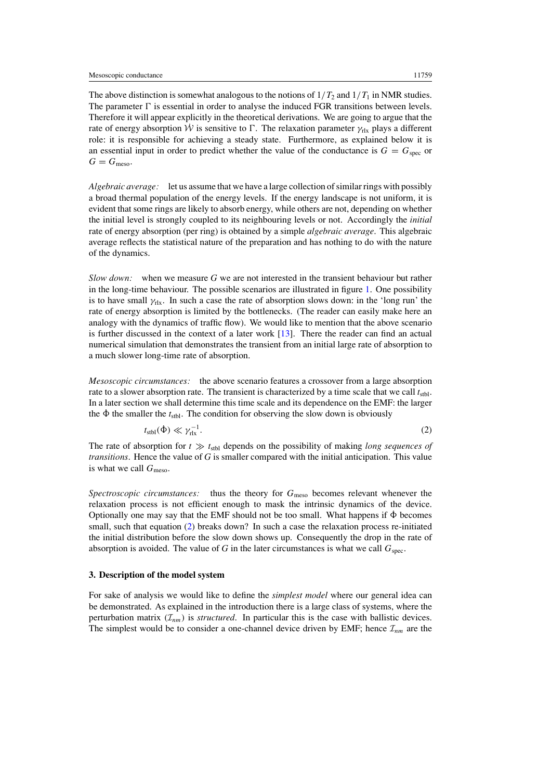<span id="page-4-0"></span>The above distinction is somewhat analogous to the notions of  $1/T_2$  and  $1/T_1$  in NMR studies. The parameter  $\Gamma$  is essential in order to analyse the induced FGR transitions between levels. Therefore it will appear explicitly in the theoretical derivations. We are going to argue that the rate of energy absorption  $\dot{W}$  is sensitive to  $\Gamma$ . The relaxation parameter  $\gamma_{rlx}$  plays a different role: it is responsible for achieving a steady state. Furthermore, as explained below it is an essential input in order to predict whether the value of the conductance is  $G = G_{\text{spec}}$  or  $G = G_{\text{meso}}$ .

*Algebraic average:* let us assume that we have a large collection of similar rings with possibly a broad thermal population of the energy levels. If the energy landscape is not uniform, it is evident that some rings are likely to absorb energy, while others are not, depending on whether the initial level is strongly coupled to its neighbouring levels or not. Accordingly the *initial* rate of energy absorption (per ring) is obtained by a simple *algebraic average*. This algebraic average reflects the statistical nature of the preparation and has nothing to do with the nature of the dynamics.

*Slow down:* when we measure *G* we are not interested in the transient behaviour but rather in the long-time behaviour. The possible scenarios are illustrated in figure [1.](#page-1-0) One possibility is to have small  $\gamma_{rlx}$ . In such a case the rate of absorption slows down: in the 'long run' the rate of energy absorption is limited by the bottlenecks. (The reader can easily make here an analogy with the dynamics of traffic flow). We would like to mention that the above scenario is further discussed in the context of a later work [\[13](#page-16-0)]. There the reader can find an actual numerical simulation that demonstrates the transient from an initial large rate of absorption to a much slower long-time rate of absorption.

*Mesoscopic circumstances:* the above scenario features a crossover from a large absorption rate to a slower absorption rate. The transient is characterized by a time scale that we call  $t_{\rm stbl}$ . In a later section we shall determine this time scale and its dependence on the EMF: the larger the  $\dot{\Phi}$  the smaller the  $t_{\text{stbl}}$ . The condition for observing the slow down is obviously

$$
t_{\rm stbl}(\dot{\Phi}) \ll \gamma_{\rm rlx}^{-1}.
$$

The rate of absorption for  $t \gg t_{\text{stbl}}$  depends on the possibility of making *long sequences of transitions*. Hence the value of *G* is smaller compared with the initial anticipation. This value is what we call  $G_{\text{meso}}$ .

*Spectroscopic circumstances:* thus the theory for  $G_{\text{meso}}$  becomes relevant whenever the relaxation process is not efficient enough to mask the intrinsic dynamics of the device. Optionally one may say that the EMF should not be too small. What happens if  $\dot{\Phi}$  becomes small, such that equation (2) breaks down? In such a case the relaxation process re-initiated the initial distribution before the slow down shows up. Consequently the drop in the rate of absorption is avoided. The value of  $G$  in the later circumstances is what we call  $G_{\text{spec}}$ .

### **3. Description of the model system**

For sake of analysis we would like to define the *simplest model* where our general idea can be demonstrated. As explained in the introduction there is a large class of systems, where the perturbation matrix  $(\mathcal{I}_{nm})$  is *structured*. In particular this is the case with ballistic devices. The simplest would be to consider a one-channel device driven by EMF; hence  $\mathcal{I}_{nm}$  are the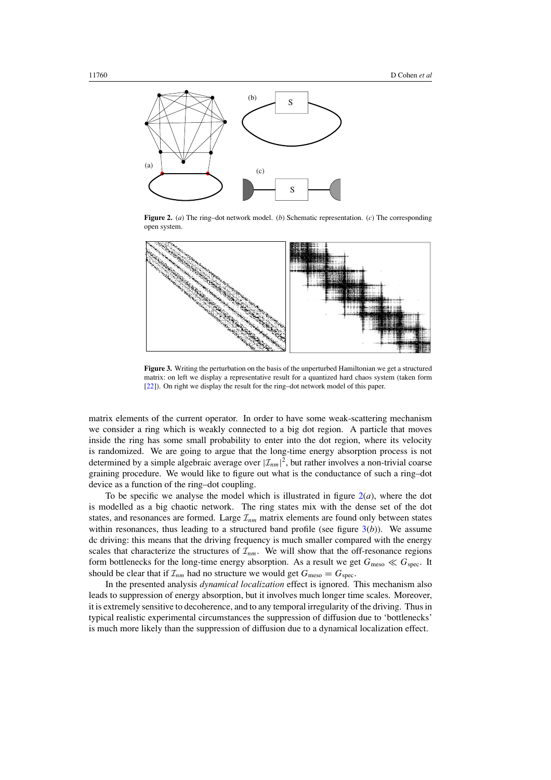<span id="page-5-0"></span>

**Figure 2.** (*a*) The ring–dot network model. (*b*) Schematic representation. (*c*) The corresponding open system.



**Figure 3.** Writing the perturbation on the basis of the unperturbed Hamiltonian we get a structured matrix: on left we display a representative result for a quantized hard chaos system (taken form [\[22](#page-16-0)]). On right we display the result for the ring–dot network model of this paper.

matrix elements of the current operator. In order to have some weak-scattering mechanism we consider a ring which is weakly connected to a big dot region. A particle that moves inside the ring has some small probability to enter into the dot region, where its velocity is randomized. We are going to argue that the long-time energy absorption process is not determined by a simple algebraic average over  $|\mathcal{I}_{nm}|^2$ , but rather involves a non-trivial coarse graining procedure. We would like to figure out what is the conductance of such a ring–dot device as a function of the ring–dot coupling.

To be specific we analyse the model which is illustrated in figure  $2(a)$ , where the dot is modelled as a big chaotic network. The ring states mix with the dense set of the dot states, and resonances are formed. Large  $\mathcal{I}_{nm}$  matrix elements are found only between states within resonances, thus leading to a structured band profile (see figure 3(*b*)). We assume dc driving: this means that the driving frequency is much smaller compared with the energy scales that characterize the structures of  $\mathcal{I}_{nm}$ . We will show that the off-resonance regions form bottlenecks for the long-time energy absorption. As a result we get  $G_{\text{meso}} \ll G_{\text{spec}}$ . It should be clear that if  $\mathcal{I}_{nm}$  had no structure we would get  $G_{\text{meso}} = G_{\text{spec}}$ .

In the presented analysis *dynamical localization* effect is ignored. This mechanism also leads to suppression of energy absorption, but it involves much longer time scales. Moreover, it is extremely sensitive to decoherence, and to any temporal irregularity of the driving. Thus in typical realistic experimental circumstances the suppression of diffusion due to 'bottlenecks' is much more likely than the suppression of diffusion due to a dynamical localization effect.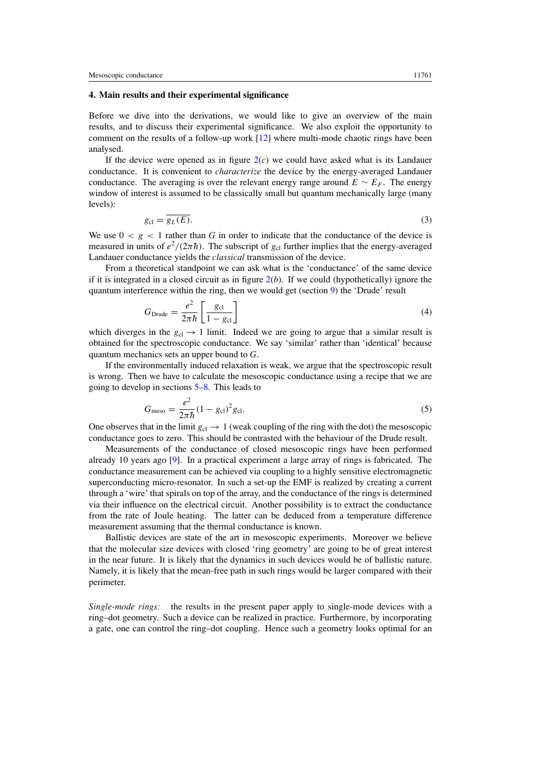### <span id="page-6-0"></span>**4. Main results and their experimental significance**

Before we dive into the derivations, we would like to give an overview of the main results, and to discuss their experimental significance. We also exploit the opportunity to comment on the results of a follow-up work [\[12](#page-16-0)] where multi-mode chaotic rings have been analysed.

If the device were opened as in figure [2\(](#page-5-0)*c*) we could have asked what is its Landauer conductance. It is convenient to *characterize* the device by the energy-averaged Landauer conductance. The averaging is over the relevant energy range around  $E \sim E_F$ . The energy window of interest is assumed to be classically small but quantum mechanically large (many levels):

$$
g_{\rm cl} = \overline{g_L(E)}.\tag{3}
$$

We use  $0 < g < 1$  rather than *G* in order to indicate that the conductance of the device is measured in units of  $e^2/(2\pi\hbar)$ . The subscript of  $g_{cl}$  further implies that the energy-averaged Landauer conductance yields the *classical* transmission of the device.

From a theoretical standpoint we can ask what is the 'conductance' of the same device if it is integrated in a closed circuit as in figure  $2(b)$  $2(b)$ . If we could (hypothetically) ignore the quantum interference within the ring, then we would get (section [9\)](#page-10-0) the 'Drude' result

$$
G_{\text{Drude}} = \frac{e^2}{2\pi\hbar} \left[ \frac{g_{\text{cl}}}{1 - g_{\text{cl}}} \right] \tag{4}
$$

which diverges in the  $g_{c} \rightarrow 1$  limit. Indeed we are going to argue that a similar result is obtained for the spectroscopic conductance. We say 'similar' rather than 'identical' because quantum mechanics sets an upper bound to *G*.

If the environmentally induced relaxation is weak, we argue that the spectroscopic result is wrong. Then we have to calculate the mesoscopic conductance using a recipe that we are going to develop in sections [5–](#page-7-0)[8.](#page-9-0) This leads to

$$
G_{\text{meso}} = \frac{e^2}{2\pi\hbar} (1 - g_{\text{cl}})^2 g_{\text{cl}}.
$$
 (5)

One observes that in the limit  $g_{cl} \rightarrow 1$  (weak coupling of the ring with the dot) the mesoscopic conductance goes to zero. This should be contrasted with the behaviour of the Drude result.

Measurements of the conductance of closed mesoscopic rings have been performed already 10 years ago  $[9]$  $[9]$ . In a practical experiment a large array of rings is fabricated. The conductance measurement can be achieved via coupling to a highly sensitive electromagnetic superconducting micro-resonator. In such a set-up the EMF is realized by creating a current through a 'wire' that spirals on top of the array, and the conductance of the rings is determined via their influence on the electrical circuit. Another possibility is to extract the conductance from the rate of Joule heating. The latter can be deduced from a temperature difference measurement assuming that the thermal conductance is known.

Ballistic devices are state of the art in mesoscopic experiments. Moreover we believe that the molecular size devices with closed 'ring geometry' are going to be of great interest in the near future. It is likely that the dynamics in such devices would be of ballistic nature. Namely, it is likely that the mean-free path in such rings would be larger compared with their perimeter.

*Single-mode rings:* the results in the present paper apply to single-mode devices with a ring–dot geometry. Such a device can be realized in practice. Furthermore, by incorporating a gate, one can control the ring–dot coupling. Hence such a geometry looks optimal for an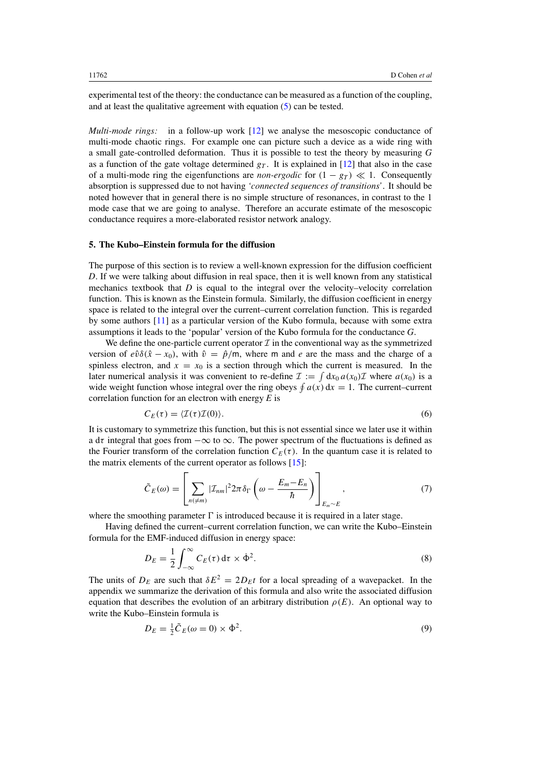<span id="page-7-0"></span>experimental test of the theory: the conductance can be measured as a function of the coupling, and at least the qualitative agreement with equation [\(5\)](#page-6-0) can be tested.

*Multi-mode rings:* in a follow-up work [\[12\]](#page-16-0) we analyse the mesoscopic conductance of multi-mode chaotic rings. For example one can picture such a device as a wide ring with a small gate-controlled deformation. Thus it is possible to test the theory by measuring *G* as a function of the gate voltage determined  $g<sub>T</sub>$ . It is explained in [\[12](#page-16-0)] that also in the case of a multi-mode ring the eigenfunctions are *non-ergodic* for  $(1 - g_T) \ll 1$ . Consequently absorption is suppressed due to not having *'connected sequences of transitions'*. It should be noted however that in general there is no simple structure of resonances, in contrast to the 1 mode case that we are going to analyse. Therefore an accurate estimate of the mesoscopic conductance requires a more-elaborated resistor network analogy.

#### **5. The Kubo–Einstein formula for the diffusion**

The purpose of this section is to review a well-known expression for the diffusion coefficient *D*. If we were talking about diffusion in real space, then it is well known from any statistical mechanics textbook that  $D$  is equal to the integral over the velocity–velocity correlation function. This is known as the Einstein formula. Similarly, the diffusion coefficient in energy space is related to the integral over the current–current correlation function. This is regarded by some authors [\[11\]](#page-16-0) as a particular version of the Kubo formula, because with some extra assumptions it leads to the 'popular' version of the Kubo formula for the conductance *G*.

We define the one-particle current operator  $\mathcal I$  in the conventional way as the symmetrized version of  $e\hat{v}\delta(\hat{x} - x_0)$ , with  $\hat{v} = \hat{p}/m$ , where m and *e* are the mass and the charge of a spinless electron, and  $x = x_0$  is a section through which the current is measured. In the later numerical analysis it was convenient to re-define  $\mathcal{I} := \int dx_0 a(x_0) \mathcal{I}$  where  $a(x_0)$  is a wide weight function whose integral over the ring obeys  $\oint a(x) dx = 1$ . The current–current correlation function for an electron with energy *E* is

$$
C_E(\tau) = \langle \mathcal{I}(\tau)\mathcal{I}(0) \rangle.
$$
 (6)

It is customary to symmetrize this function, but this is not essential since we later use it within a d*τ* integral that goes from −∞ to ∞. The power spectrum of the fluctuations is defined as the Fourier transform of the correlation function  $C_E(\tau)$ . In the quantum case it is related to the matrix elements of the current operator as follows [\[15](#page-16-0)]:

$$
\tilde{C}_E(\omega) = \left[ \sum_{n \in \mathcal{M}} | \mathcal{I}_{nm} |^2 2\pi \delta_{\Gamma} \left( \omega - \frac{E_m - E_n}{\hbar} \right) \right]_{E_m \sim E}, \tag{7}
$$

where the smoothing parameter  $\Gamma$  is introduced because it is required in a later stage.

Having defined the current–current correlation function, we can write the Kubo–Einstein formula for the EMF-induced diffusion in energy space:

$$
D_E = \frac{1}{2} \int_{-\infty}^{\infty} C_E(\tau) d\tau \times \dot{\Phi}^2.
$$
 (8)

The units of  $D_F$  are such that  $\delta E^2 = 2D_F t$  for a local spreading of a wavepacket. In the appendix we summarize the derivation of this formula and also write the associated diffusion equation that describes the evolution of an arbitrary distribution  $\rho(E)$ . An optional way to write the Kubo–Einstein formula is

$$
D_E = \frac{1}{2}\tilde{C}_E(\omega = 0) \times \dot{\Phi}^2.
$$
\n(9)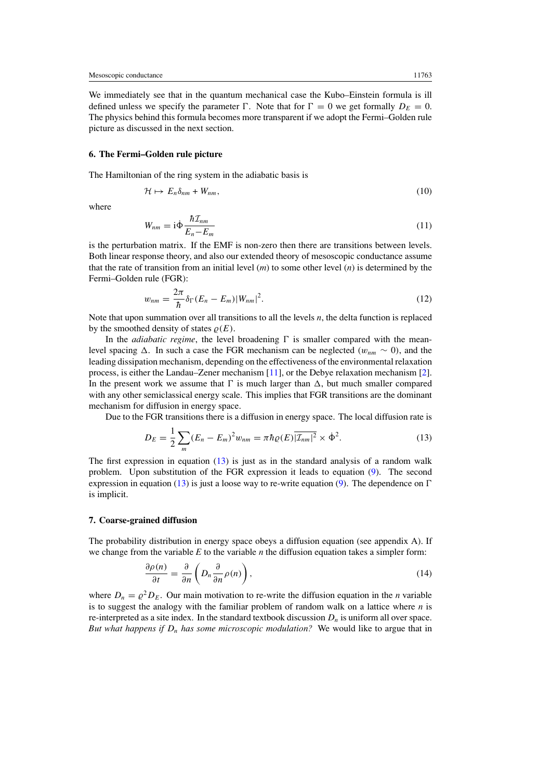<span id="page-8-0"></span>We immediately see that in the quantum mechanical case the Kubo–Einstein formula is ill defined unless we specify the parameter  $\Gamma$ . Note that for  $\Gamma = 0$  we get formally  $D_F = 0$ . The physics behind this formula becomes more transparent if we adopt the Fermi–Golden rule picture as discussed in the next section.

#### **6. The Fermi–Golden rule picture**

The Hamiltonian of the ring system in the adiabatic basis is

$$
\mathcal{H} \mapsto E_n \delta_{nm} + W_{nm},\tag{10}
$$

where

$$
W_{nm} = \mathrm{i}\dot{\Phi}\frac{\hbar\mathcal{I}_{nm}}{E_n - E_m} \tag{11}
$$

is the perturbation matrix. If the EMF is non-zero then there are transitions between levels. Both linear response theory, and also our extended theory of mesoscopic conductance assume that the rate of transition from an initial level (*m*) to some other level (*n*) is determined by the Fermi–Golden rule (FGR):

$$
w_{nm} = \frac{2\pi}{\hbar} \delta_{\Gamma} (E_n - E_m) |W_{nm}|^2.
$$
 (12)

Note that upon summation over all transitions to all the levels *n*, the delta function is replaced by the smoothed density of states  $\rho(E)$ .

In the *adiabatic regime*, the level broadening  $\Gamma$  is smaller compared with the meanlevel spacing  $\Delta$ . In such a case the FGR mechanism can be neglected  $(w_{nm} \sim 0)$ , and the leading dissipation mechanism, depending on the effectiveness of the environmental relaxation process, is either the Landau–Zener mechanism [\[11\]](#page-16-0), or the Debye relaxation mechanism [\[2\]](#page-15-0). In the present work we assume that  $\Gamma$  is much larger than  $\Delta$ , but much smaller compared with any other semiclassical energy scale. This implies that FGR transitions are the dominant mechanism for diffusion in energy space.

Due to the FGR transitions there is a diffusion in energy space. The local diffusion rate is

$$
D_E = \frac{1}{2} \sum_m (E_n - E_m)^2 w_{nm} = \pi \hbar \varrho(E) \overline{|\mathcal{I}_{nm}|^2} \times \dot{\Phi}^2.
$$
 (13)

The first expression in equation  $(13)$  is just as in the standard analysis of a random walk problem. Upon substitution of the FGR expression it leads to equation [\(9\)](#page-7-0). The second expression in equation (13) is just a loose way to re-write equation [\(9\)](#page-7-0). The dependence on  $\Gamma$ is implicit.

### **7. Coarse-grained diffusion**

The probability distribution in energy space obeys a diffusion equation (see appendix A). If we change from the variable *E* to the variable *n* the diffusion equation takes a simpler form:

$$
\frac{\partial \rho(n)}{\partial t} = \frac{\partial}{\partial n} \left( D_n \frac{\partial}{\partial n} \rho(n) \right),\tag{14}
$$

where  $D_n = \rho^2 D_E$ . Our main motivation to re-write the diffusion equation in the *n* variable is to suggest the analogy with the familiar problem of random walk on a lattice where *n* is re-interpreted as a site index. In the standard textbook discussion  $D_n$  is uniform all over space. *But what happens if Dn has some microscopic modulation?* We would like to argue that in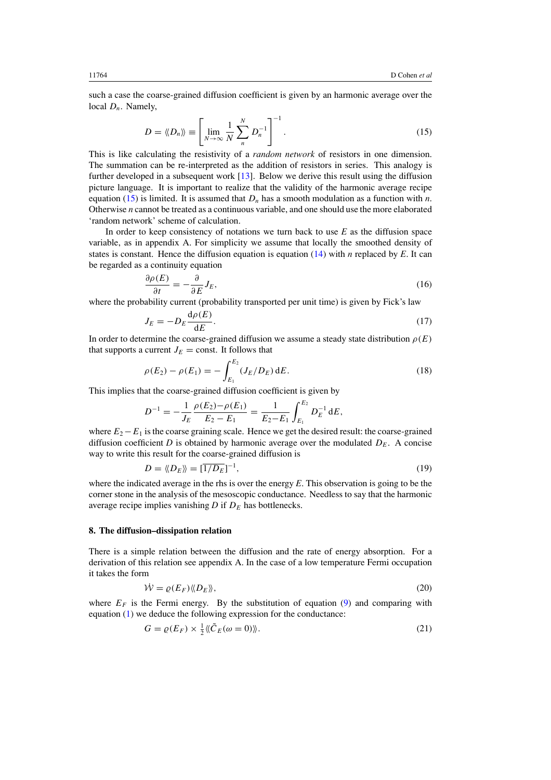<span id="page-9-0"></span>such a case the coarse-grained diffusion coefficient is given by an harmonic average over the local *Dn*. Namely,

$$
D = \langle \langle D_n \rangle \rangle \equiv \left[ \lim_{N \to \infty} \frac{1}{N} \sum_{n=1}^{N} D_n^{-1} \right]^{-1} . \tag{15}
$$

This is like calculating the resistivity of a *random network* of resistors in one dimension. The summation can be re-interpreted as the addition of resistors in series. This analogy is further developed in a subsequent work [\[13\]](#page-16-0). Below we derive this result using the diffusion picture language. It is important to realize that the validity of the harmonic average recipe equation (15) is limited. It is assumed that  $D_n$  has a smooth modulation as a function with *n*. Otherwise *n* cannot be treated as a continuous variable, and one should use the more elaborated 'random network' scheme of calculation.

In order to keep consistency of notations we turn back to use *E* as the diffusion space variable, as in appendix A. For simplicity we assume that locally the smoothed density of states is constant. Hence the diffusion equation is equation [\(14\)](#page-8-0) with *n* replaced by *E*. It can be regarded as a continuity equation

$$
\frac{\partial \rho(E)}{\partial t} = -\frac{\partial}{\partial E} J_E,\tag{16}
$$

where the probability current (probability transported per unit time) is given by Fick's law

$$
J_E = -D_E \frac{\mathrm{d}\rho(E)}{\mathrm{d}E}.\tag{17}
$$

In order to determine the coarse-grained diffusion we assume a steady state distribution  $\rho(E)$ that supports a current  $J_E = \text{const.}$  It follows that

$$
\rho(E_2) - \rho(E_1) = -\int_{E_1}^{E_2} (J_E/D_E) \, dE. \tag{18}
$$

This implies that the coarse-grained diffusion coefficient is given by

$$
D^{-1} = -\frac{1}{J_E} \frac{\rho(E_2) - \rho(E_1)}{E_2 - E_1} = \frac{1}{E_2 - E_1} \int_{E_1}^{E_2} D_E^{-1} dE,
$$

where  $E_2 - E_1$  is the coarse graining scale. Hence we get the desired result: the coarse-grained diffusion coefficient *D* is obtained by harmonic average over the modulated  $D<sub>E</sub>$ . A concise way to write this result for the coarse-grained diffusion is

$$
D = \langle \langle D_E \rangle \rangle = [\overline{1/D_E}]^{-1},\tag{19}
$$

where the indicated average in the rhs is over the energy *E*. This observation is going to be the corner stone in the analysis of the mesoscopic conductance. Needless to say that the harmonic average recipe implies vanishing  $D$  if  $D<sub>E</sub>$  has bottlenecks.

#### **8. The diffusion–dissipation relation**

There is a simple relation between the diffusion and the rate of energy absorption. For a derivation of this relation see appendix A. In the case of a low temperature Fermi occupation it takes the form

$$
\dot{\mathcal{W}} = \varrho(E_F) \langle \! \langle D_E \rangle \! \rangle, \tag{20}
$$

where  $E_F$  is the Fermi energy. By the substitution of equation [\(9\)](#page-7-0) and comparing with equation [\(1\)](#page-2-0) we deduce the following expression for the conductance:

$$
G = \varrho(E_F) \times \frac{1}{2} \langle \langle \tilde{C}_E(\omega = 0) \rangle \rangle. \tag{21}
$$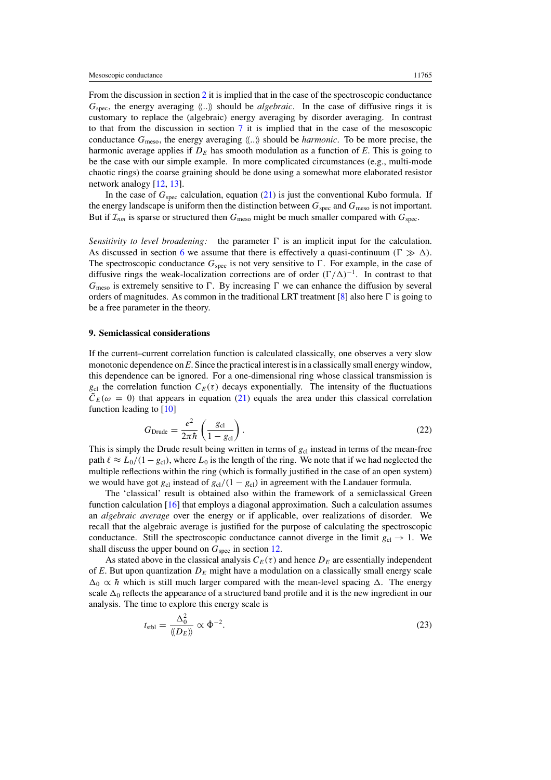<span id="page-10-0"></span>From the discussion in section [2](#page-3-0) it is implied that in the case of the spectroscopic conductance  $G_{\text{spec}}$ , the energy averaging  $\langle \langle \ldots \rangle \rangle$  should be *algebraic*. In the case of diffusive rings it is customary to replace the (algebraic) energy averaging by disorder averaging. In contrast to that from the discussion in section [7](#page-8-0) it is implied that in the case of the mesoscopic conductance  $G_{\text{meso}}$ , the energy averaging  $\langle \langle \ldots \rangle \rangle$  should be *harmonic*. To be more precise, the harmonic average applies if  $D<sub>E</sub>$  has smooth modulation as a function of  $E$ . This is going to be the case with our simple example. In more complicated circumstances (e.g., multi-mode chaotic rings) the coarse graining should be done using a somewhat more elaborated resistor network analogy [\[12](#page-16-0), [13](#page-16-0)].

In the case of  $G_{\text{spec}}$  calculation, equation [\(21\)](#page-9-0) is just the conventional Kubo formula. If the energy landscape is uniform then the distinction between  $G_{\text{spec}}$  and  $G_{\text{meso}}$  is not important. But if  $\mathcal{I}_{nm}$  is sparse or structured then  $G_{\text{meso}}$  might be much smaller compared with  $G_{\text{spec}}$ .

*Sensitivity to level broadening:* the parameter  $\Gamma$  is an implicit input for the calculation. As discussed in section [6](#page-8-0) we assume that there is effectively a quasi-continuum  $(\Gamma \gg \Delta)$ . The spectroscopic conductance  $G_{\text{spec}}$  is not very sensitive to  $\Gamma$ . For example, in the case of diffusive rings the weak-localization corrections are of order  $(\Gamma/\Delta)^{-1}$ . In contrast to that  $G_{\text{meso}}$  is extremely sensitive to  $\Gamma$ . By increasing  $\Gamma$  we can enhance the diffusion by several orders of magnitudes. As common in the traditional LRT treatment  $[8]$  also here  $\Gamma$  is going to be a free parameter in the theory.

## **9. Semiclassical considerations**

If the current–current correlation function is calculated classically, one observes a very slow monotonic dependence on *E*. Since the practical interest is in a classically small energy window, this dependence can be ignored. For a one-dimensional ring whose classical transmission is  $g_{cl}$  the correlation function  $C_E(\tau)$  decays exponentially. The intensity of the fluctuations  $\tilde{C}_E(\omega = 0)$  that appears in equation [\(21\)](#page-9-0) equals the area under this classical correlation function leading to [\[10\]](#page-16-0)

$$
G_{\text{Drude}} = \frac{e^2}{2\pi\hbar} \left(\frac{g_{\text{cl}}}{1 - g_{\text{cl}}}\right). \tag{22}
$$

This is simply the Drude result being written in terms of  $g<sub>cl</sub>$  instead in terms of the mean-free path  $\ell \approx L_0/(1-g_{\text{cl}})$ , where  $L_0$  is the length of the ring. We note that if we had neglected the multiple reflections within the ring (which is formally justified in the case of an open system) we would have got  $g_{c1}$  instead of  $g_{c1}/(1 - g_{c1})$  in agreement with the Landauer formula.

The 'classical' result is obtained also within the framework of a semiclassical Green function calculation [\[16](#page-16-0)] that employs a diagonal approximation. Such a calculation assumes an *algebraic average* over the energy or if applicable, over realizations of disorder. We recall that the algebraic average is justified for the purpose of calculating the spectroscopic conductance. Still the spectroscopic conductance cannot diverge in the limit  $g_{cl} \rightarrow 1$ . We shall discuss the upper bound on  $G_{\text{spec}}$  in section [12.](#page-13-0)

As stated above in the classical analysis  $C_E(\tau)$  and hence  $D_E$  are essentially independent of *E*. But upon quantization  $D<sub>E</sub>$  might have a modulation on a classically small energy scale  $\Delta_0 \propto \hbar$  which is still much larger compared with the mean-level spacing  $\Delta$ . The energy scale  $\Delta_0$  reflects the appearance of a structured band profile and it is the new ingredient in our analysis. The time to explore this energy scale is

$$
t_{\rm stbl} = \frac{\Delta_0^2}{\langle\!\langle D_E \rangle\!\rangle} \propto \dot{\Phi}^{-2}.
$$
 (23)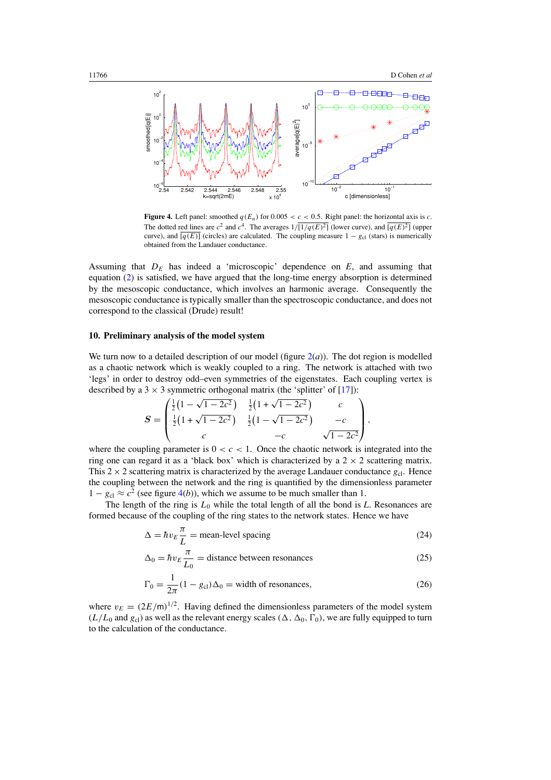<span id="page-11-0"></span>

**Figure 4.** Left panel: smoothed  $q(E_n)$  for  $0.005 < c < 0.5$ . Right panel: the horizontal axis is *c*. The dotted red lines are  $c^2$  and  $c^4$ . The averages  $1/\sqrt{1/(q(E)^2)}$  (lower curve), and  $\sqrt{q(E)^2}$  (upper curve), and  $\overline{[q(E)]}$  (circles) are calculated. The coupling measure  $1 - g_{\text{cl}}$  (stars) is numerically obtained from the Landauer conductance.

Assuming that  $D_E$  has indeed a 'microscopic' dependence on  $E$ , and assuming that equation [\(2\)](#page-4-0) is satisfied, we have argued that the long-time energy absorption is determined by the mesoscopic conductance, which involves an harmonic average. Consequently the mesoscopic conductance is typically smaller than the spectroscopic conductance, and does not correspond to the classical (Drude) result!

### **10. Preliminary analysis of the model system**

We turn now to a detailed description of our model (figure  $2(a)$  $2(a)$ ). The dot region is modelled as a chaotic network which is weakly coupled to a ring. The network is attached with two 'legs' in order to destroy odd–even symmetries of the eigenstates. Each coupling vertex is described by a 3  $\times$  3 symmetric orthogonal matrix (the 'splitter' of [\[17](#page-16-0)]):

$$
S = \begin{pmatrix} \frac{1}{2} (1 - \sqrt{1 - 2c^2}) & \frac{1}{2} (1 + \sqrt{1 - 2c^2}) & c \\ \frac{1}{2} (1 + \sqrt{1 - 2c^2}) & \frac{1}{2} (1 - \sqrt{1 - 2c^2}) & -c \\ c & -c & \sqrt{1 - 2c^2} \end{pmatrix},
$$

where the coupling parameter is  $0 < c < 1$ . Once the chaotic network is integrated into the ring one can regard it as a 'black box' which is characterized by a  $2 \times 2$  scattering matrix. This  $2 \times 2$  scattering matrix is characterized by the average Landauer conductance  $g_{c1}$ . Hence the coupling between the network and the ring is quantified by the dimensionless parameter  $1 - g_{cl} \approx c^2$  (see figure 4(*b*)), which we assume to be much smaller than 1.

The length of the ring is  $L_0$  while the total length of all the bond is  $L$ . Resonances are formed because of the coupling of the ring states to the network states. Hence we have

$$
\Delta = \hbar v_E \frac{\pi}{L} = \text{mean-level spacing} \tag{24}
$$

$$
\Delta_0 = \hbar v_E \frac{\pi}{L_0} = \text{distance between resonances}
$$
 (25)

$$
\Gamma_0 = \frac{1}{2\pi} (1 - g_{\text{cl}}) \Delta_0 = \text{width of resonances},\tag{26}
$$

where  $v_E = (2E/m)^{1/2}$ . Having defined the dimensionless parameters of the model system  $(L/L_0$  and  $g_{c1}$ ) as well as the relevant energy scales  $(\Delta, \Delta_0, \Gamma_0)$ , we are fully equipped to turn to the calculation of the conductance.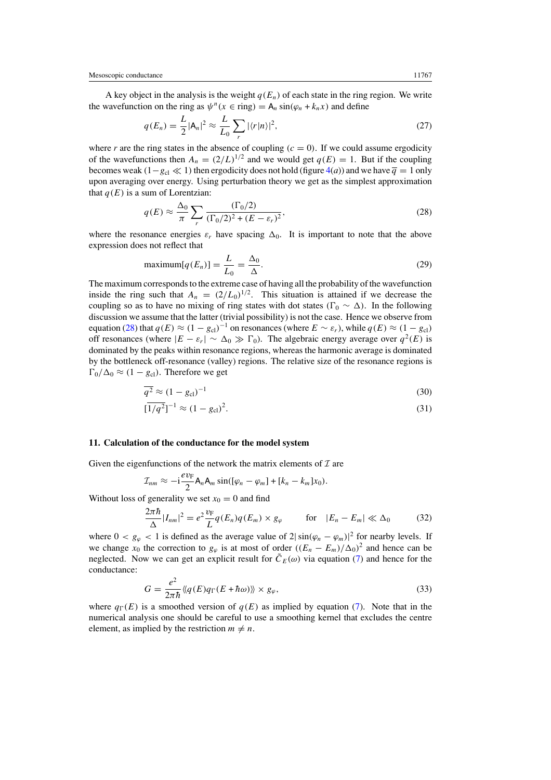<span id="page-12-0"></span>A key object in the analysis is the weight  $q(E_n)$  of each state in the ring region. We write the wavefunction on the ring as  $\psi^n(x \in \text{ring}) = A_n \sin(\varphi_n + k_n x)$  and define

$$
q(E_n) = \frac{L}{2} |\mathsf{A}_n|^2 \approx \frac{L}{L_0} \sum_r |\langle r|n \rangle|^2,
$$
\n(27)

where *r* are the ring states in the absence of coupling  $(c = 0)$ . If we could assume ergodicity of the wavefunctions then  $A_n = (2/L)^{1/2}$  and we would get  $q(E) = 1$ . But if the coupling becomes weak  $(1-g_{cl} \ll 1)$  then ergodicity does not hold (figure [4\(](#page-11-0)*a*)) and we have  $\overline{q} = 1$  only upon averaging over energy. Using perturbation theory we get as the simplest approximation that  $q(E)$  is a sum of Lorentzian:

$$
q(E) \approx \frac{\Delta_0}{\pi} \sum_r \frac{(\Gamma_0/2)}{(\Gamma_0/2)^2 + (E - \varepsilon_r)^2},\tag{28}
$$

where the resonance energies  $\varepsilon_r$  have spacing  $\Delta_0$ . It is important to note that the above expression does not reflect that

$$
\text{maximum}[q(E_n)] = \frac{L}{L_0} = \frac{\Delta_0}{\Delta}.\tag{29}
$$

The maximum corresponds to the extreme case of having all the probability of the wavefunction inside the ring such that  $A_n = (2/L_0)^{1/2}$ . This situation is attained if we decrease the coupling so as to have no mixing of ring states with dot states  $(\Gamma_0 \sim \Delta)$ . In the following discussion we assume that the latter (trivial possibility) is not the case. Hence we observe from equation (28) that  $q(E) \approx (1 - g_{cl})^{-1}$  on resonances (where  $E \sim \varepsilon_r$ ), while  $q(E) \approx (1 - g_{cl})$ off resonances (where  $|E - \varepsilon_r| \sim \Delta_0 \gg \Gamma_0$ ). The algebraic energy average over  $q^2(E)$  is dominated by the peaks within resonance regions, whereas the harmonic average is dominated by the bottleneck off-resonance (valley) regions. The relative size of the resonance regions is  $\Gamma_0/\Delta_0 \approx (1 - g_{\text{cl}})$ . Therefore we get

$$
\overline{q^2} \approx (1 - g_{\rm cl})^{-1} \tag{30}
$$

$$
[\overline{1/q^2}]^{-1} \approx (1 - g_{\text{cl}})^2. \tag{31}
$$

#### **11. Calculation of the conductance for the model system**

Given the eigenfunctions of the network the matrix elements of  $I$  are

$$
\mathcal{I}_{nm} \approx -\mathrm{i}\frac{ev_{\mathrm{F}}}{2} \mathsf{A}_{n} \mathsf{A}_{m} \sin([\varphi_{n}-\varphi_{m}]+[k_{n}-k_{m}]x_{0}).
$$

Without loss of generality we set  $x_0 = 0$  and find

$$
\frac{2\pi\hbar}{\Delta}|I_{nm}|^2 = e^2 \frac{v_{\rm F}}{L} q(E_n) q(E_m) \times g_{\varphi} \qquad \text{for} \quad |E_n - E_m| \ll \Delta_0 \tag{32}
$$

where  $0 < g_{\varphi} < 1$  is defined as the average value of  $2|\sin(\varphi_n - \varphi_m)|^2$  for nearby levels. If we change  $x_0$  the correction to  $g_\varphi$  is at most of order  $((E_n - E_m)/\Delta_0)^2$  and hence can be neglected. Now we can get an explicit result for  $\tilde{C}_E(\omega)$  via equation [\(7\)](#page-7-0) and hence for the conductance:

$$
G = \frac{e^2}{2\pi\hbar} \langle \langle q(E)q_{\Gamma}(E + \hbar\omega) \rangle \rangle \times g_{\varphi}, \tag{33}
$$

where  $q_{\Gamma}(E)$  is a smoothed version of  $q(E)$  as implied by equation [\(7\)](#page-7-0). Note that in the numerical analysis one should be careful to use a smoothing kernel that excludes the centre element, as implied by the restriction  $m \neq n$ .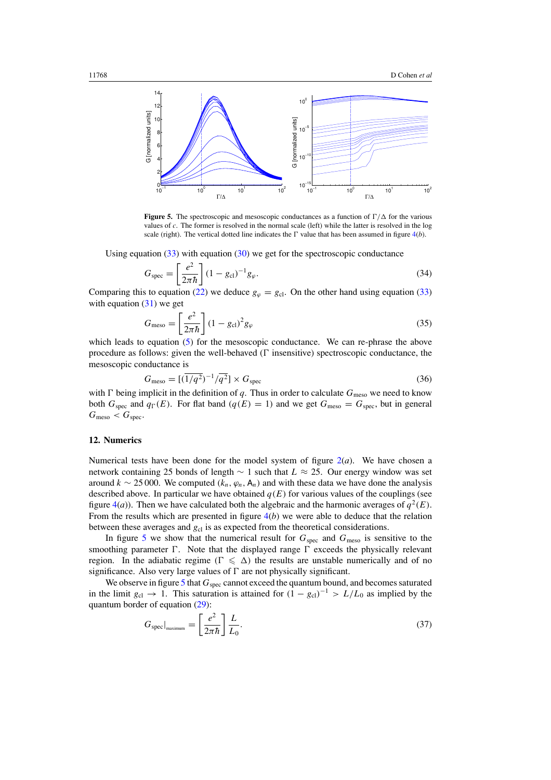<span id="page-13-0"></span>

**Figure 5.** The spectroscopic and mesoscopic conductances as a function of  $\Gamma/\Delta$  for the various values of *c*. The former is resolved in the normal scale (left) while the latter is resolved in the log scale (right). The vertical dotted line indicates the  $\Gamma$  value that has been assumed in figure  $4(b)$  $4(b)$ .

Using equation  $(33)$  with equation  $(30)$  we get for the spectroscopic conductance

$$
G_{\text{spec}} = \left[\frac{e^2}{2\pi\hbar}\right] (1 - g_{\text{cl}})^{-1} g_{\varphi}.
$$
\n(34)

Comparing this to equation [\(22\)](#page-10-0) we deduce  $g_\varphi = g_{\text{cl}}$ . On the other hand using equation [\(33\)](#page-12-0) with equation  $(31)$  we get

$$
G_{\text{meso}} = \left[\frac{e^2}{2\pi\hbar}\right] (1 - g_{\text{cl}})^2 g_{\varphi} \tag{35}
$$

which leads to equation [\(5\)](#page-6-0) for the mesoscopic conductance. We can re-phrase the above procedure as follows: given the well-behaved  $(\Gamma$  insensitive) spectroscopic conductance, the mesoscopic conductance is

$$
G_{\text{meso}} = [(\overline{1/q^2})^{-1} / \overline{q^2}] \times G_{\text{spec}} \tag{36}
$$

with  $\Gamma$  being implicit in the definition of *q*. Thus in order to calculate  $G_{\text{meso}}$  we need to know both  $G_{\text{spec}}$  and  $q_{\Gamma}(E)$ . For flat band  $(q(E) = 1)$  and we get  $G_{\text{meso}} = G_{\text{spec}}$ , but in general  $G_{\text{meso}} < G_{\text{spec}}$ .

# **12. Numerics**

Numerical tests have been done for the model system of figure  $2(a)$  $2(a)$ . We have chosen a network containing 25 bonds of length ∼ 1 such that *L* ≈ 25. Our energy window was set around  $k \sim 25000$ . We computed  $(k_n, \varphi_n, A_n)$  and with these data we have done the analysis described above. In particular we have obtained  $q(E)$  for various values of the couplings (see figure [4\(](#page-11-0)*a*)). Then we have calculated both the algebraic and the harmonic averages of  $q^2(E)$ . From the results which are presented in figure [4\(](#page-11-0)*b*) we were able to deduce that the relation between these averages and  $g_{c1}$  is as expected from the theoretical considerations.

In figure 5 we show that the numerical result for  $G_{\text{spec}}$  and  $G_{\text{meso}}$  is sensitive to the smoothing parameter  $\Gamma$ . Note that the displayed range  $\Gamma$  exceeds the physically relevant region. In the adiabatic regime  $(\Gamma \leq \Delta)$  the results are unstable numerically and of no significance. Also very large values of  $\Gamma$  are not physically significant.

We observe in figure 5 that  $G_{\text{spec}}$  cannot exceed the quantum bound, and becomes saturated in the limit  $g_{cl}$  → 1. This saturation is attained for  $(1 - g_{cl})^{-1} > L/L_0$  as implied by the quantum border of equation [\(29\)](#page-12-0):

$$
G_{\text{spec}}|_{\text{maximum}} = \left[\frac{e^2}{2\pi\hbar}\right]\frac{L}{L_0}.\tag{37}
$$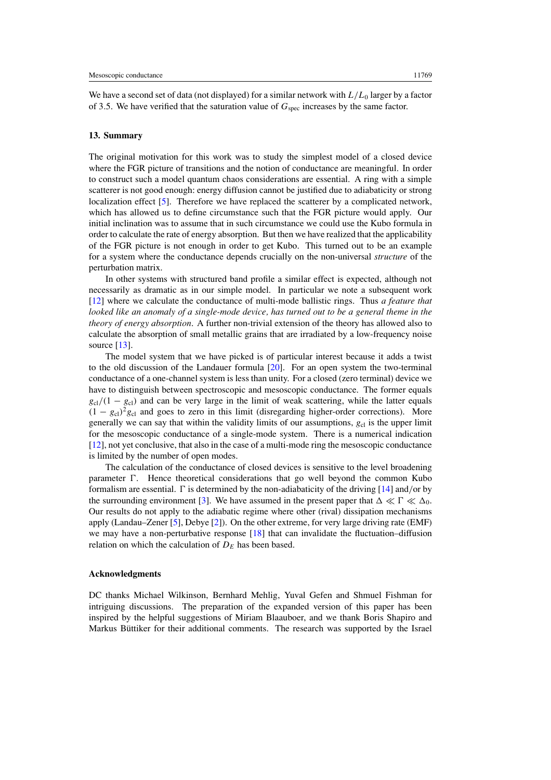We have a second set of data (not displayed) for a similar network with  $L/L_0$  larger by a factor of 3.5. We have verified that the saturation value of  $G_{\text{spec}}$  increases by the same factor.

# **13. Summary**

The original motivation for this work was to study the simplest model of a closed device where the FGR picture of transitions and the notion of conductance are meaningful. In order to construct such a model quantum chaos considerations are essential. A ring with a simple scatterer is not good enough: energy diffusion cannot be justified due to adiabaticity or strong localization effect [\[5](#page-15-0)]. Therefore we have replaced the scatterer by a complicated network, which has allowed us to define circumstance such that the FGR picture would apply. Our initial inclination was to assume that in such circumstance we could use the Kubo formula in order to calculate the rate of energy absorption. But then we have realized that the applicability of the FGR picture is not enough in order to get Kubo. This turned out to be an example for a system where the conductance depends crucially on the non-universal *structure* of the perturbation matrix.

In other systems with structured band profile a similar effect is expected, although not necessarily as dramatic as in our simple model. In particular we note a subsequent work [\[12](#page-16-0)] where we calculate the conductance of multi-mode ballistic rings. Thus *a feature that looked like an anomaly of a single-mode device, has turned out to be a general theme in the theory of energy absorption*. A further non-trivial extension of the theory has allowed also to calculate the absorption of small metallic grains that are irradiated by a low-frequency noise source  $[13]$ .

The model system that we have picked is of particular interest because it adds a twist to the old discussion of the Landauer formula [\[20\]](#page-16-0). For an open system the two-terminal conductance of a one-channel system is less than unity. For a closed (zero terminal) device we have to distinguish between spectroscopic and mesoscopic conductance. The former equals  $g_{cl}/(1 - g_{cl})$  and can be very large in the limit of weak scattering, while the latter equals  $(1 - g_{cl})^2 g_{cl}$  and goes to zero in this limit (disregarding higher-order corrections). More generally we can say that within the validity limits of our assumptions,  $g_{c}$  is the upper limit for the mesoscopic conductance of a single-mode system. There is a numerical indication [\[12](#page-16-0)], not yet conclusive, that also in the case of a multi-mode ring the mesoscopic conductance is limited by the number of open modes.

The calculation of the conductance of closed devices is sensitive to the level broadening parameter  $\Gamma$ . Hence theoretical considerations that go well beyond the common Kubo formalism are essential.  $\Gamma$  is determined by the non-adiabaticity of the driving [\[14](#page-16-0)] and/or by the surrounding environment [\[3\]](#page-15-0). We have assumed in the present paper that  $\Delta \ll \Gamma \ll \Delta_0$ . Our results do not apply to the adiabatic regime where other (rival) dissipation mechanisms apply (Landau–Zener [\[5\]](#page-15-0), Debye [\[2](#page-15-0)]). On the other extreme, for very large driving rate (EMF) we may have a non-perturbative response [\[18\]](#page-16-0) that can invalidate the fluctuation–diffusion relation on which the calculation of  $D<sub>E</sub>$  has been based.

### **Acknowledgments**

DC thanks Michael Wilkinson, Bernhard Mehlig, Yuval Gefen and Shmuel Fishman for intriguing discussions. The preparation of the expanded version of this paper has been inspired by the helpful suggestions of Miriam Blaauboer, and we thank Boris Shapiro and Markus Büttiker for their additional comments. The research was supported by the Israel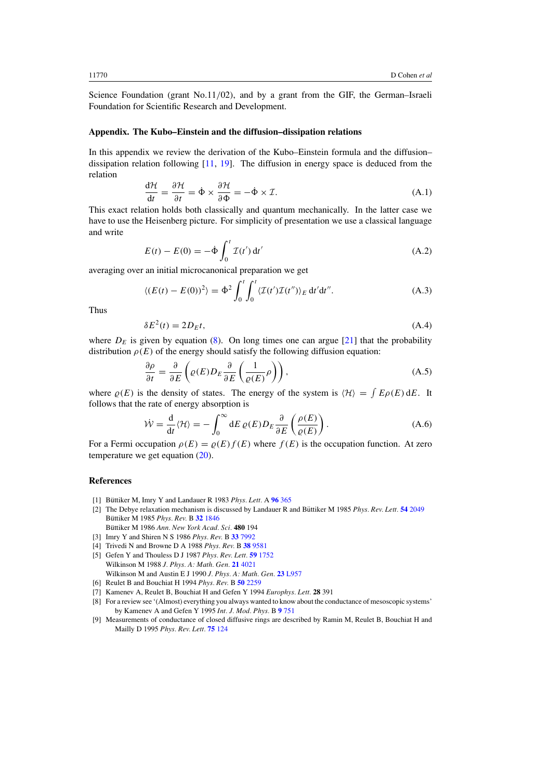<span id="page-15-0"></span>Science Foundation (grant No.11*/*02), and by a grant from the GIF, the German–Israeli Foundation for Scientific Research and Development.

#### **Appendix. The Kubo–Einstein and the diffusion–dissipation relations**

In this appendix we review the derivation of the Kubo–Einstein formula and the diffusion– dissipation relation following [\[11,](#page-16-0) [19\]](#page-16-0). The diffusion in energy space is deduced from the relation

$$
\frac{d\mathcal{H}}{dt} = \frac{\partial \mathcal{H}}{\partial t} = \dot{\Phi} \times \frac{\partial \mathcal{H}}{\partial \Phi} = -\dot{\Phi} \times \mathcal{I}.
$$
\n(A.1)

This exact relation holds both classically and quantum mechanically. In the latter case we have to use the Heisenberg picture. For simplicity of presentation we use a classical language and write

$$
E(t) - E(0) = -\dot{\Phi} \int_0^t \mathcal{I}(t') dt'
$$
\n(A.2)

averaging over an initial microcanonical preparation we get

$$
\langle (E(t) - E(0))^2 \rangle = \dot{\Phi}^2 \int_0^t \int_0^t \langle \mathcal{I}(t') \mathcal{I}(t'') \rangle_E dt' dt''.
$$
 (A.3)

Thus

$$
\delta E^2(t) = 2D_E t,\tag{A.4}
$$

where  $D<sub>F</sub>$  is given by equation [\(8\)](#page-7-0). On long times one can argue [\[21](#page-16-0)] that the probability distribution  $\rho(E)$  of the energy should satisfy the following diffusion equation:

$$
\frac{\partial \rho}{\partial t} = \frac{\partial}{\partial E} \left( \varrho(E) D_E \frac{\partial}{\partial E} \left( \frac{1}{\varrho(E)} \rho \right) \right), \tag{A.5}
$$

where  $\rho(E)$  is the density of states. The energy of the system is  $\langle \mathcal{H} \rangle = \int E \rho(E) dE$ . It follows that the rate of energy absorption is

$$
\dot{\mathcal{W}} = \frac{\mathrm{d}}{\mathrm{d}t} \langle \mathcal{H} \rangle = -\int_0^\infty \mathrm{d}E \, \varrho(E) D_E \frac{\partial}{\partial E} \left( \frac{\rho(E)}{\varrho(E)} \right). \tag{A.6}
$$

For a Fermi occupation  $\rho(E) = \rho(E)f(E)$  where  $f(E)$  is the occupation function. At zero temperature we get equation [\(20\)](#page-9-0).

### **References**

- [1] Büttiker M, Imry Y and Landauer R 1983  $Phys. Lett. A$  **96** [365](http://dx.doi.org/10.1016/0375-9601(83)90011-7)
- [2] The Debye relaxation mechanism is discussed by Landauer R and Büttiker M 1985 Phys. Rev. Lett. **54** [2049](http://dx.doi.org/10.1103/PhysRevLett.54.2049) Büttiker M 1985 Phys. Rev. B 32 [1846](http://dx.doi.org/10.1103/PhysRevB.32.1846) Büttiker M 1986 Ann. New York Acad. Sci. 480 194
- [3] Imry Y and Shiren N S 1986 *Phys. Rev.* B **33** [7992](http://dx.doi.org/10.1103/PhysRevB.33.7992)
- [4] Trivedi N and Browne D A 1988 *Phys. Rev.* B **38** [9581](http://dx.doi.org/10.1103/PhysRevB.38.9581)
- [5] Gefen Y and Thouless D J 1987 *Phys. Rev. Lett.* **59** [1752](http://dx.doi.org/10.1103/PhysRevLett.59.1752) Wilkinson M 1988 *J. Phys. A: Math. Gen.* **21** [4021](http://dx.doi.org/10.1088/0305-4470/21/21/011) Wilkinson M and Austin E J 1990 *J. Phys. A: Math. Gen.* **23** [L957](http://dx.doi.org/10.1088/0305-4470/23/18/004)
- [6] Reulet B and Bouchiat H 1994 *Phys. Rev.* B **50** [2259](http://dx.doi.org/10.1103/PhysRevB.50.2259)
- [7] Kamenev A, Reulet B, Bouchiat H and Gefen Y 1994 *Europhys. Lett.* **28** 391
- [8] For a review see '(Almost) everything you always wanted to know about the conductance of mesoscopic systems' by Kamenev A and Gefen Y 1995 *Int. J. Mod. Phys.* B **9** [751](http://dx.doi.org/10.1142/S0217979295000306)
- [9] Measurements of conductance of closed diffusive rings are described by Ramin M, Reulet B, Bouchiat H and Mailly D 1995 *Phys. Rev. Lett.* **75** [124](http://dx.doi.org/10.1103/PhysRevLett.75.124)